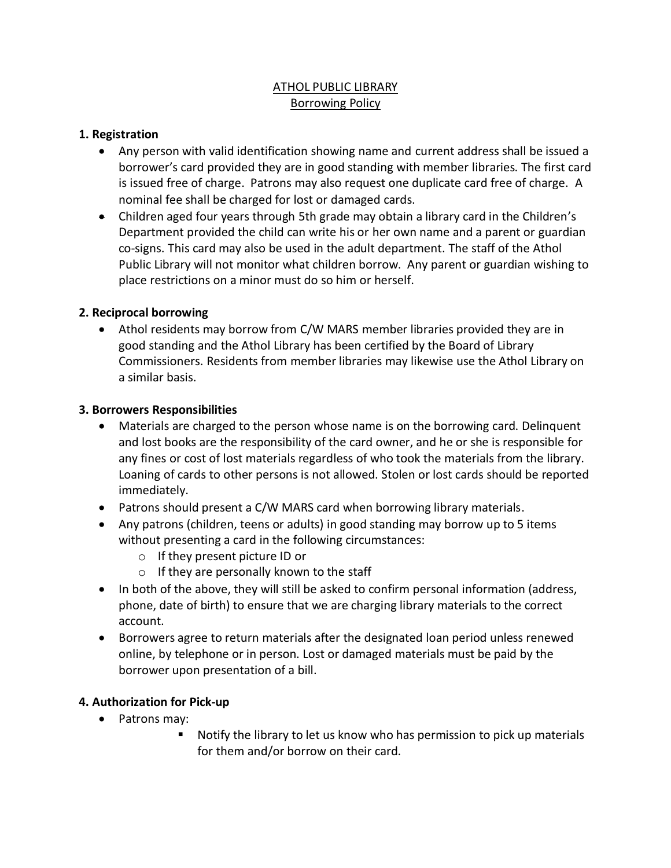# ATHOL PUBLIC LIBRARY Borrowing Policy

### **1. Registration**

- Any person with valid identification showing name and current address shall be issued a borrower's card provided they are in good standing with member libraries. The first card is issued free of charge. Patrons may also request one duplicate card free of charge. A nominal fee shall be charged for lost or damaged cards.
- Children aged four years through 5th grade may obtain a library card in the Children's Department provided the child can write his or her own name and a parent or guardian co-signs. This card may also be used in the adult department. The staff of the Athol Public Library will not monitor what children borrow. Any parent or guardian wishing to place restrictions on a minor must do so him or herself.

#### **2. Reciprocal borrowing**

• Athol residents may borrow from C/W MARS member libraries provided they are in good standing and the Athol Library has been certified by the Board of Library Commissioners. Residents from member libraries may likewise use the Athol Library on a similar basis.

#### **3. Borrowers Responsibilities**

- Materials are charged to the person whose name is on the borrowing card. Delinquent and lost books are the responsibility of the card owner, and he or she is responsible for any fines or cost of lost materials regardless of who took the materials from the library. Loaning of cards to other persons is not allowed. Stolen or lost cards should be reported immediately.
- Patrons should present a C/W MARS card when borrowing library materials.
- Any patrons (children, teens or adults) in good standing may borrow up to 5 items without presenting a card in the following circumstances:
	- o If they present picture ID or
	- o If they are personally known to the staff
- In both of the above, they will still be asked to confirm personal information (address, phone, date of birth) to ensure that we are charging library materials to the correct account.
- Borrowers agree to return materials after the designated loan period unless renewed online, by telephone or in person. Lost or damaged materials must be paid by the borrower upon presentation of a bill.

## **4. Authorization for Pick-up**

- Patrons may:
	- Notify the library to let us know who has permission to pick up materials for them and/or borrow on their card.